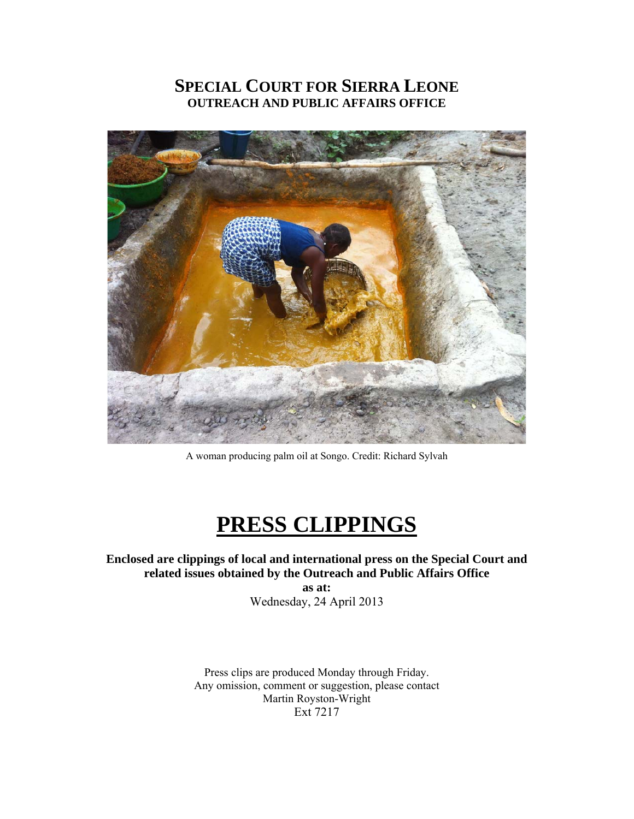# **SPECIAL COURT FOR SIERRA LEONE OUTREACH AND PUBLIC AFFAIRS OFFICE**



A woman producing palm oil at Songo. Credit: Richard Sylvah

# **PRESS CLIPPINGS**

### **Enclosed are clippings of local and international press on the Special Court and related issues obtained by the Outreach and Public Affairs Office**

**as at:**  Wednesday, 24 April 2013

Press clips are produced Monday through Friday. Any omission, comment or suggestion, please contact Martin Royston-Wright Ext 7217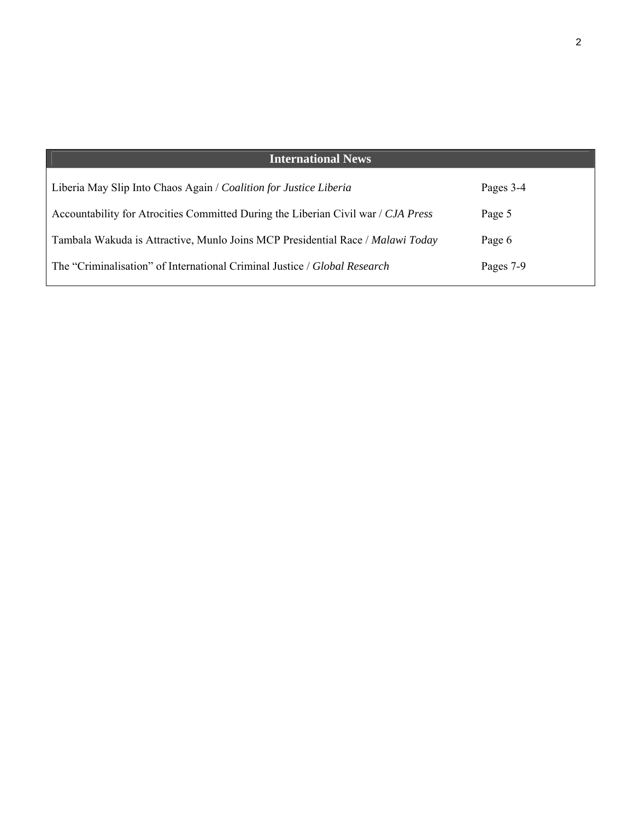| <b>International News</b>                                                         |           |
|-----------------------------------------------------------------------------------|-----------|
| Liberia May Slip Into Chaos Again / Coalition for Justice Liberia                 | Pages 3-4 |
| Accountability for Atrocities Committed During the Liberian Civil war / CJA Press | Page 5    |
| Tambala Wakuda is Attractive, Munlo Joins MCP Presidential Race / Malawi Today    | Page 6    |
| The "Criminalisation" of International Criminal Justice / Global Research         | Pages 7-9 |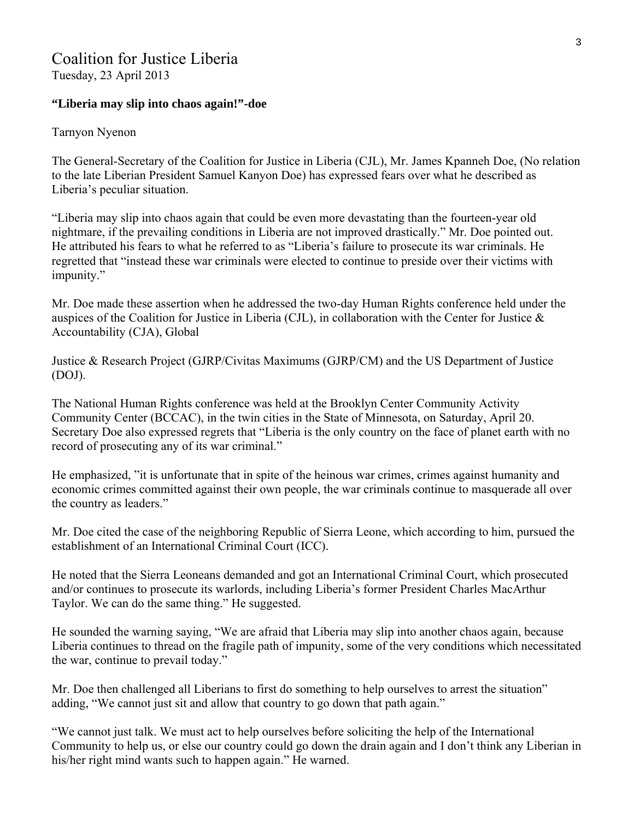## Coalition for Justice Liberia

Tuesday, 23 April 2013

#### **"Liberia may slip into chaos again!"-doe**

#### Tarnyon Nyenon

The General-Secretary of the Coalition for Justice in Liberia (CJL), Mr. James Kpanneh Doe, (No relation to the late Liberian President Samuel Kanyon Doe) has expressed fears over what he described as Liberia's peculiar situation.

"Liberia may slip into chaos again that could be even more devastating than the fourteen-year old nightmare, if the prevailing conditions in Liberia are not improved drastically." Mr. Doe pointed out. He attributed his fears to what he referred to as "Liberia's failure to prosecute its war criminals. He regretted that "instead these war criminals were elected to continue to preside over their victims with impunity."

Mr. Doe made these assertion when he addressed the two-day Human Rights conference held under the auspices of the Coalition for Justice in Liberia (CJL), in collaboration with the Center for Justice & Accountability (CJA), Global

Justice & Research Project (GJRP/Civitas Maximums (GJRP/CM) and the US Department of Justice (DOJ).

The National Human Rights conference was held at the Brooklyn Center Community Activity Community Center (BCCAC), in the twin cities in the State of Minnesota, on Saturday, April 20. Secretary Doe also expressed regrets that "Liberia is the only country on the face of planet earth with no record of prosecuting any of its war criminal."

He emphasized, "it is unfortunate that in spite of the heinous war crimes, crimes against humanity and economic crimes committed against their own people, the war criminals continue to masquerade all over the country as leaders."

Mr. Doe cited the case of the neighboring Republic of Sierra Leone, which according to him, pursued the establishment of an International Criminal Court (ICC).

He noted that the Sierra Leoneans demanded and got an International Criminal Court, which prosecuted and/or continues to prosecute its warlords, including Liberia's former President Charles MacArthur Taylor. We can do the same thing." He suggested.

He sounded the warning saying, "We are afraid that Liberia may slip into another chaos again, because Liberia continues to thread on the fragile path of impunity, some of the very conditions which necessitated the war, continue to prevail today."

Mr. Doe then challenged all Liberians to first do something to help ourselves to arrest the situation" adding, "We cannot just sit and allow that country to go down that path again."

"We cannot just talk. We must act to help ourselves before soliciting the help of the International Community to help us, or else our country could go down the drain again and I don't think any Liberian in his/her right mind wants such to happen again." He warned.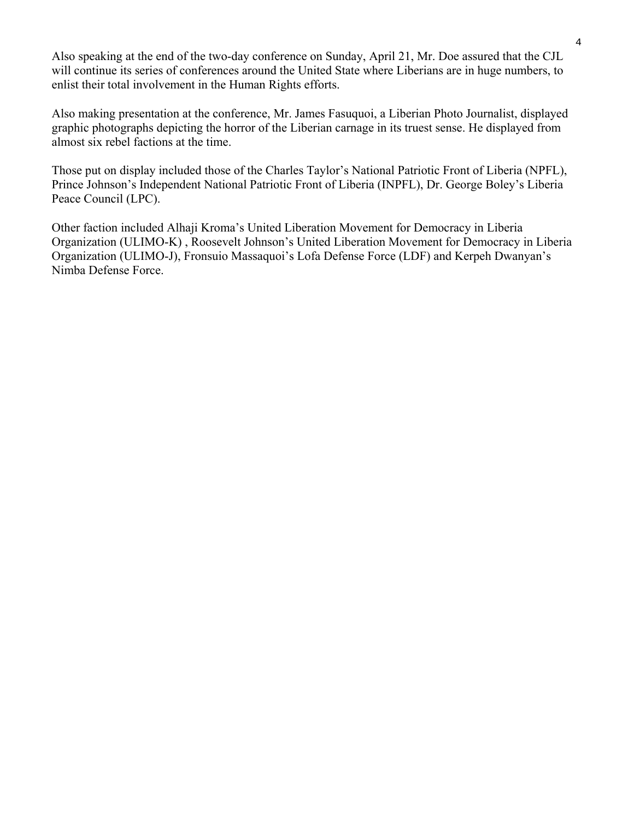Also speaking at the end of the two-day conference on Sunday, April 21, Mr. Doe assured that the CJL will continue its series of conferences around the United State where Liberians are in huge numbers, to enlist their total involvement in the Human Rights efforts.

Also making presentation at the conference, Mr. James Fasuquoi, a Liberian Photo Journalist, displayed graphic photographs depicting the horror of the Liberian carnage in its truest sense. He displayed from almost six rebel factions at the time.

Those put on display included those of the Charles Taylor's National Patriotic Front of Liberia (NPFL), Prince Johnson's Independent National Patriotic Front of Liberia (INPFL), Dr. George Boley's Liberia Peace Council (LPC).

Other faction included Alhaji Kroma's United Liberation Movement for Democracy in Liberia Organization (ULIMO-K) , Roosevelt Johnson's United Liberation Movement for Democracy in Liberia Organization (ULIMO-J), Fronsuio Massaquoi's Lofa Defense Force (LDF) and Kerpeh Dwanyan's Nimba Defense Force.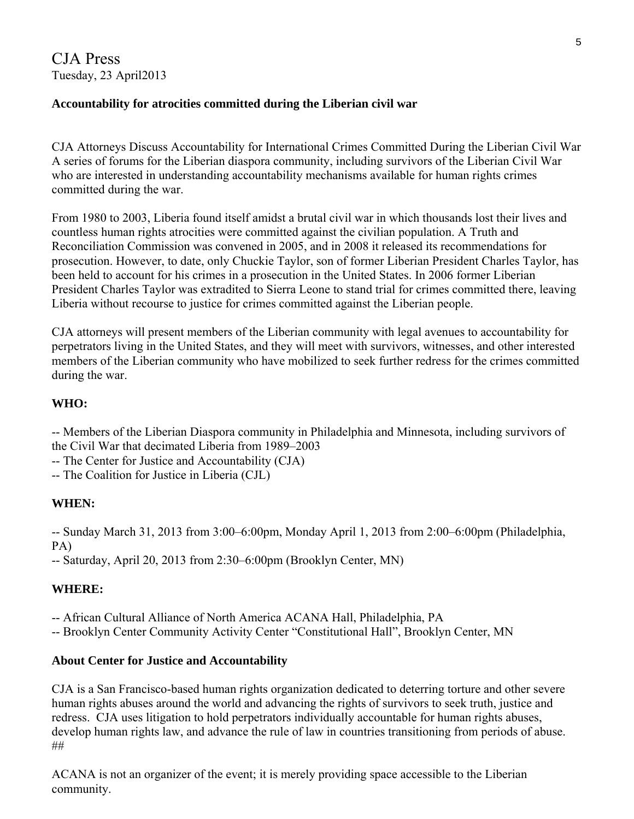CJA Press Tuesday, 23 April2013

#### **Accountability for atrocities committed during the Liberian civil war**

CJA Attorneys Discuss Accountability for International Crimes Committed During the Liberian Civil War A series of forums for the Liberian diaspora community, including survivors of the Liberian Civil War who are interested in understanding accountability mechanisms available for human rights crimes committed during the war.

From 1980 to 2003, Liberia found itself amidst a brutal civil war in which thousands lost their lives and countless human rights atrocities were committed against the civilian population. A Truth and Reconciliation Commission was convened in 2005, and in 2008 it released its recommendations for prosecution. However, to date, only Chuckie Taylor, son of former Liberian President Charles Taylor, has been held to account for his crimes in a prosecution in the United States. In 2006 former Liberian President Charles Taylor was extradited to Sierra Leone to stand trial for crimes committed there, leaving Liberia without recourse to justice for crimes committed against the Liberian people.

CJA attorneys will present members of the Liberian community with legal avenues to accountability for perpetrators living in the United States, and they will meet with survivors, witnesses, and other interested members of the Liberian community who have mobilized to seek further redress for the crimes committed during the war.

### **WHO:**

-- Members of the Liberian Diaspora community in Philadelphia and Minnesota, including survivors of the Civil War that decimated Liberia from 1989–2003

-- The Center for Justice and Accountability (CJA)

-- The Coalition for Justice in Liberia (CJL)

#### **WHEN:**

-- Sunday March 31, 2013 from 3:00–6:00pm, Monday April 1, 2013 from 2:00–6:00pm (Philadelphia, PA)

-- Saturday, April 20, 2013 from 2:30–6:00pm (Brooklyn Center, MN)

## **WHERE:**

-- African Cultural Alliance of North America ACANA Hall, Philadelphia, PA

-- Brooklyn Center Community Activity Center "Constitutional Hall", Brooklyn Center, MN

#### **About Center for Justice and Accountability**

CJA is a San Francisco-based human rights organization dedicated to deterring torture and other severe human rights abuses around the world and advancing the rights of survivors to seek truth, justice and redress. CJA uses litigation to hold perpetrators individually accountable for human rights abuses, develop human rights law, and advance the rule of law in countries transitioning from periods of abuse. ##

ACANA is not an organizer of the event; it is merely providing space accessible to the Liberian community.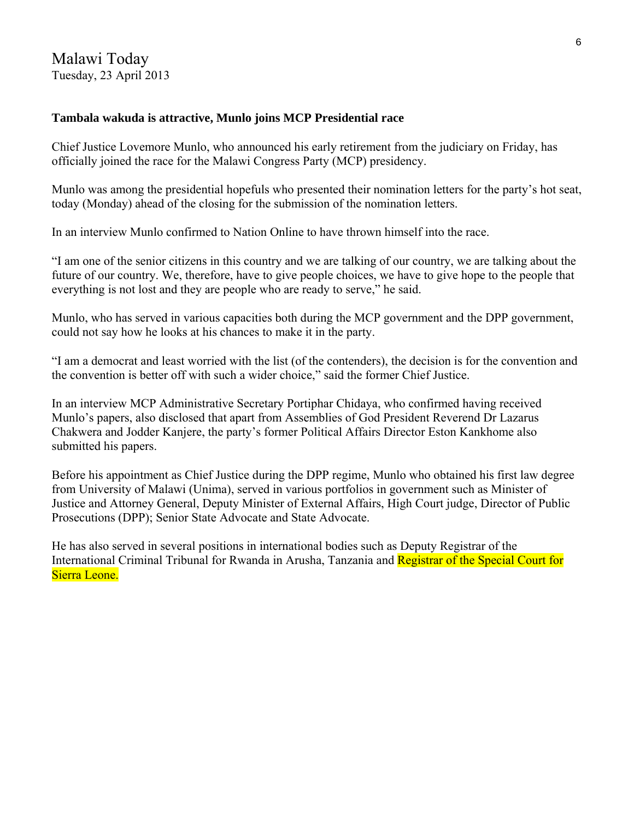#### **Tambala wakuda is attractive, Munlo joins MCP Presidential race**

Chief Justice Lovemore Munlo, who announced his early retirement from the judiciary on Friday, has officially joined the race for the Malawi Congress Party (MCP) presidency.

Munlo was among the presidential hopefuls who presented their nomination letters for the party's hot seat, today (Monday) ahead of the closing for the submission of the nomination letters.

In an interview Munlo confirmed to Nation Online to have thrown himself into the race.

"I am one of the senior citizens in this country and we are talking of our country, we are talking about the future of our country. We, therefore, have to give people choices, we have to give hope to the people that everything is not lost and they are people who are ready to serve," he said.

Munlo, who has served in various capacities both during the MCP government and the DPP government, could not say how he looks at his chances to make it in the party.

"I am a democrat and least worried with the list (of the contenders), the decision is for the convention and the convention is better off with such a wider choice," said the former Chief Justice.

In an interview MCP Administrative Secretary Portiphar Chidaya, who confirmed having received Munlo's papers, also disclosed that apart from Assemblies of God President Reverend Dr Lazarus Chakwera and Jodder Kanjere, the party's former Political Affairs Director Eston Kankhome also submitted his papers.

Before his appointment as Chief Justice during the DPP regime, Munlo who obtained his first law degree from University of Malawi (Unima), served in various portfolios in government such as Minister of Justice and Attorney General, Deputy Minister of External Affairs, High Court judge, Director of Public Prosecutions (DPP); Senior State Advocate and State Advocate.

He has also served in several positions in international bodies such as Deputy Registrar of the International Criminal Tribunal for Rwanda in Arusha, Tanzania and Registrar of the Special Court for Sierra Leone.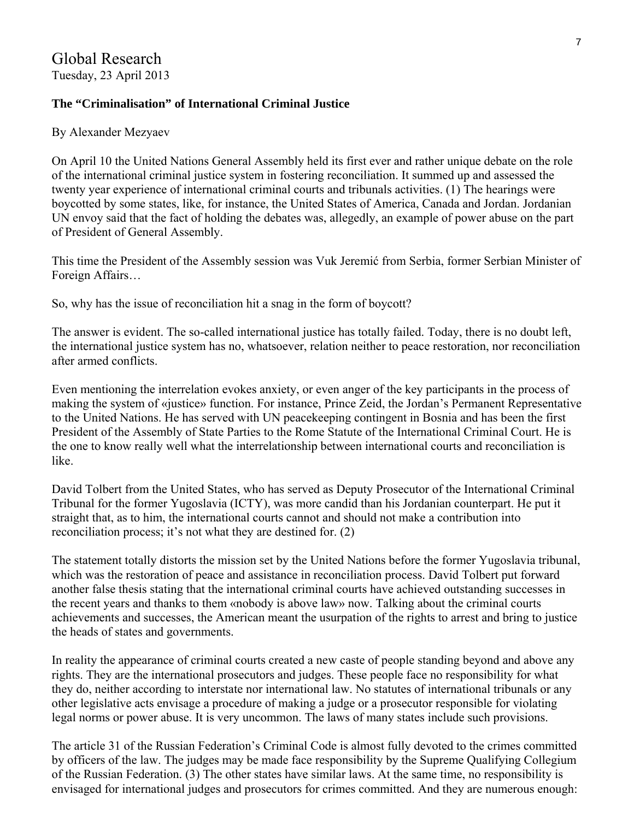### **The "Criminalisation" of International Criminal Justice**

#### By Alexander Mezyaev

On April 10 the United Nations General Assembly held its first ever and rather unique debate on the role of the international criminal justice system in fostering reconciliation. It summed up and assessed the twenty year experience of international criminal courts and tribunals activities. (1) The hearings were boycotted by some states, like, for instance, the United States of America, Canada and Jordan. Jordanian UN envoy said that the fact of holding the debates was, allegedly, an example of power abuse on the part of President of General Assembly.

This time the President of the Assembly session was Vuk Jeremić from Serbia, former Serbian Minister of Foreign Affairs…

So, why has the issue of reconciliation hit a snag in the form of boycott?

The answer is evident. The so-called international justice has totally failed. Today, there is no doubt left, the international justice system has no, whatsoever, relation neither to peace restoration, nor reconciliation after armed conflicts.

Even mentioning the interrelation evokes anxiety, or even anger of the key participants in the process of making the system of «justice» function. For instance, Prince Zeid, the Jordan's Permanent Representative to the United Nations. He has served with UN peacekeeping contingent in Bosnia and has been the first President of the Assembly of State Parties to the Rome Statute of the International Criminal Court. He is the one to know really well what the interrelationship between international courts and reconciliation is like.

David Tolbert from the United States, who has served as Deputy Prosecutor of the International Criminal Tribunal for the former Yugoslavia (ICTY), was more candid than his Jordanian counterpart. He put it straight that, as to him, the international courts cannot and should not make a contribution into reconciliation process; it's not what they are destined for. (2)

The statement totally distorts the mission set by the United Nations before the former Yugoslavia tribunal, which was the restoration of peace and assistance in reconciliation process. David Tolbert put forward another false thesis stating that the international criminal courts have achieved outstanding successes in the recent years and thanks to them «nobody is above law» now. Talking about the criminal courts achievements and successes, the American meant the usurpation of the rights to arrest and bring to justice the heads of states and governments.

In reality the appearance of criminal courts created a new caste of people standing beyond and above any rights. They are the international prosecutors and judges. These people face no responsibility for what they do, neither according to interstate nor international law. No statutes of international tribunals or any other legislative acts envisage a procedure of making a judge or a prosecutor responsible for violating legal norms or power abuse. It is very uncommon. The laws of many states include such provisions.

The article 31 of the Russian Federation's Criminal Code is almost fully devoted to the crimes committed by officers of the law. The judges may be made face responsibility by the Supreme Qualifying Collegium of the Russian Federation. (3) The other states have similar laws. At the same time, no responsibility is envisaged for international judges and prosecutors for crimes committed. And they are numerous enough: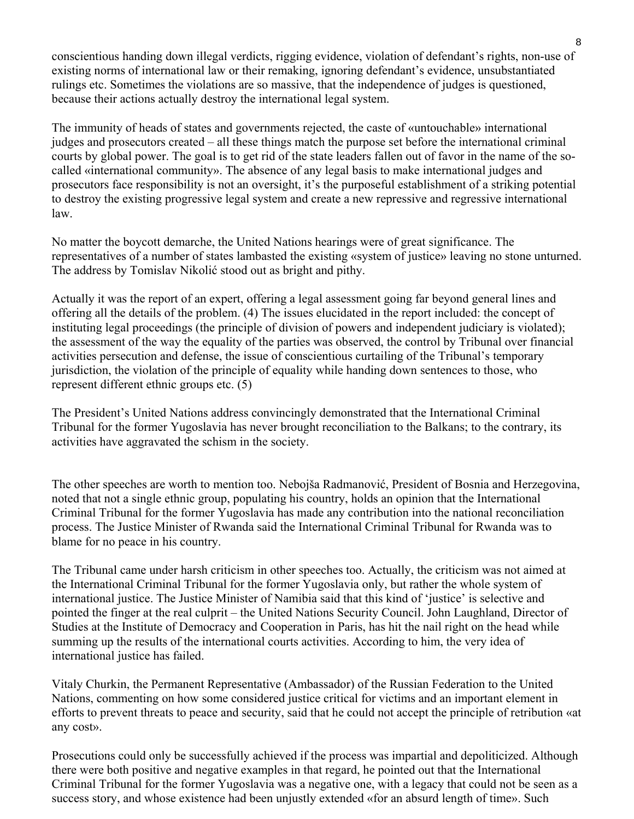conscientious handing down illegal verdicts, rigging evidence, violation of defendant's rights, non-use of existing norms of international law or their remaking, ignoring defendant's evidence, unsubstantiated rulings etc. Sometimes the violations are so massive, that the independence of judges is questioned, because their actions actually destroy the international legal system.

The immunity of heads of states and governments rejected, the caste of «untouchable» international judges and prosecutors created – all these things match the purpose set before the international criminal courts by global power. The goal is to get rid of the state leaders fallen out of favor in the name of the socalled «international community». The absence of any legal basis to make international judges and prosecutors face responsibility is not an oversight, it's the purposeful establishment of a striking potential to destroy the existing progressive legal system and create a new repressive and regressive international law.

No matter the boycott demarche, the United Nations hearings were of great significance. The representatives of a number of states lambasted the existing «system of justice» leaving no stone unturned. The address by Tomislav Nikolić stood out as bright and pithy.

Actually it was the report of an expert, offering a legal assessment going far beyond general lines and offering all the details of the problem. (4) The issues elucidated in the report included: the concept of instituting legal proceedings (the principle of division of powers and independent judiciary is violated); the assessment of the way the equality of the parties was observed, the control by Tribunal over financial activities persecution and defense, the issue of conscientious curtailing of the Tribunal's temporary jurisdiction, the violation of the principle of equality while handing down sentences to those, who represent different ethnic groups etc. (5)

The President's United Nations address convincingly demonstrated that the International Criminal Tribunal for the former Yugoslavia has never brought reconciliation to the Balkans; to the contrary, its activities have aggravated the schism in the society.

The other speeches are worth to mention too. Nebojša Radmanović, President of Bosnia and Herzegovina, noted that not a single ethnic group, populating his country, holds an opinion that the International Criminal Tribunal for the former Yugoslavia has made any contribution into the national reconciliation process. The Justice Minister of Rwanda said the International Criminal Tribunal for Rwanda was to blame for no peace in his country.

The Tribunal came under harsh criticism in other speeches too. Actually, the criticism was not aimed at the International Criminal Tribunal for the former Yugoslavia only, but rather the whole system of international justice. The Justice Minister of Namibia said that this kind of 'justice' is selective and pointed the finger at the real culprit – the United Nations Security Council. John Laughland, Director of Studies at the Institute of Democracy and Cooperation in Paris, has hit the nail right on the head while summing up the results of the international courts activities. According to him, the very idea of international justice has failed.

Vitaly Churkin, the Permanent Representative (Ambassador) of the Russian Federation to the United Nations, commenting on how some considered justice critical for victims and an important element in efforts to prevent threats to peace and security, said that he could not accept the principle of retribution «at any cost».

Prosecutions could only be successfully achieved if the process was impartial and depoliticized. Although there were both positive and negative examples in that regard, he pointed out that the International Criminal Tribunal for the former Yugoslavia was a negative one, with a legacy that could not be seen as a success story, and whose existence had been unjustly extended «for an absurd length of time». Such